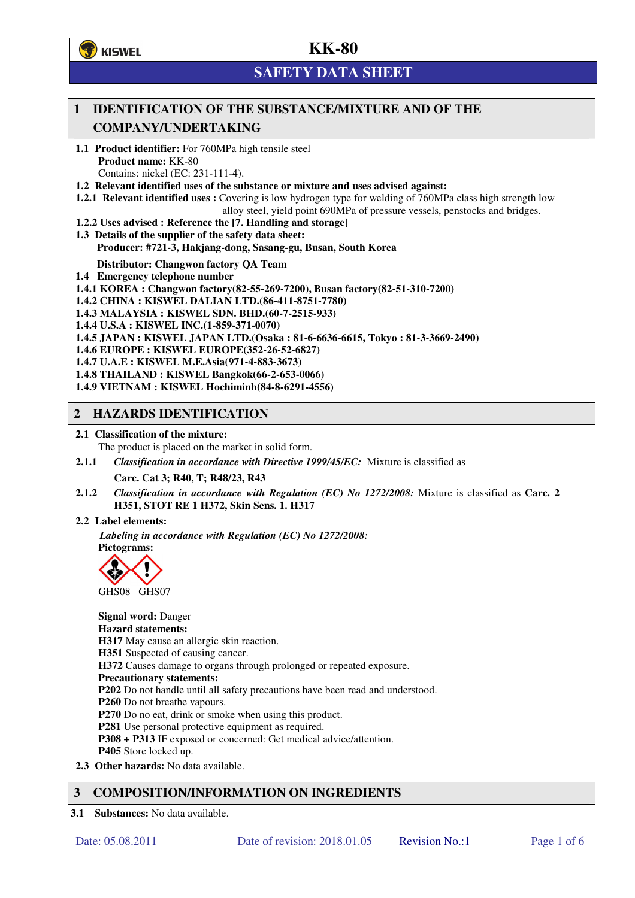**了**KISWEL

# **KK-80**

# **SAFETY DATA SHEET**

## **1 IDENTIFICATION OF THE SUBSTANCE/MIXTURE AND OF THE COMPANY/UNDERTAKING**

- **1.1 Product identifier:** For 760MPa high tensile steel **Product name:** KK-80 Contains: nickel (EC: 231-111-4).
- **1.2 Relevant identified uses of the substance or mixture and uses advised against:**
- **1.2.1 Relevant identified uses :** Covering is low hydrogen type for welding of 760MPa class high strength low alloy steel, yield point 690MPa of pressure vessels, penstocks and bridges.
- **1.2.2 Uses advised : Reference the [7. Handling and storage]**
- **1.3 Details of the supplier of the safety data sheet: Producer: #721-3, Hakjang-dong, Sasang-gu, Busan, South Korea**

**Distributor: Changwon factory QA Team** 

- **1.4 Emergency telephone number**
- **1.4.1 KOREA : Changwon factory(82-55-269-7200), Busan factory(82-51-310-7200)**
- **1.4.2 CHINA : KISWEL DALIAN LTD.(86-411-8751-7780)**
- **1.4.3 MALAYSIA : KISWEL SDN. BHD.(60-7-2515-933)**
- **1.4.4 U.S.A : KISWEL INC.(1-859-371-0070)**
- **1.4.5 JAPAN : KISWEL JAPAN LTD.(Osaka : 81-6-6636-6615, Tokyo : 81-3-3669-2490)**
- **1.4.6 EUROPE : KISWEL EUROPE(352-26-52-6827)**
- **1.4.7 U.A.E : KISWEL M.E.Asia(971-4-883-3673)**
- **1.4.8 THAILAND : KISWEL Bangkok(66-2-653-0066)**
- **1.4.9 VIETNAM : KISWEL Hochiminh(84-8-6291-4556)**

### **2 HAZARDS IDENTIFICATION**

- **2.1 Classification of the mixture:** 
	- The product is placed on the market in solid form.
- **2.1.1** *Classification in accordance with Directive 1999/45/EC:* Mixture is classified as

**Carc. Cat 3; R40, T; R48/23, R43** 

- **2.1.2** *Classification in accordance with Regulation (EC) No 1272/2008:* Mixture is classified as **Carc. 2 H351, STOT RE 1 H372, Skin Sens. 1. H317**
- **2.2 Label elements:**

*Labeling in accordance with Regulation (EC) No 1272/2008:*  **Pictograms:** 



**Signal word:** Danger **Hazard statements: H317** May cause an allergic skin reaction. **H351** Suspected of causing cancer. **H372** Causes damage to organs through prolonged or repeated exposure. **Precautionary statements: P202** Do not handle until all safety precautions have been read and understood. **P260** Do not breathe vapours. **P270** Do no eat, drink or smoke when using this product. **P281** Use personal protective equipment as required. **P308 + P313** IF exposed or concerned: Get medical advice/attention. **P405** Store locked up. **2.3 Other hazards:** No data available.

## **3 COMPOSITION/INFORMATION ON INGREDIENTS**

**3.1 Substances:** No data available.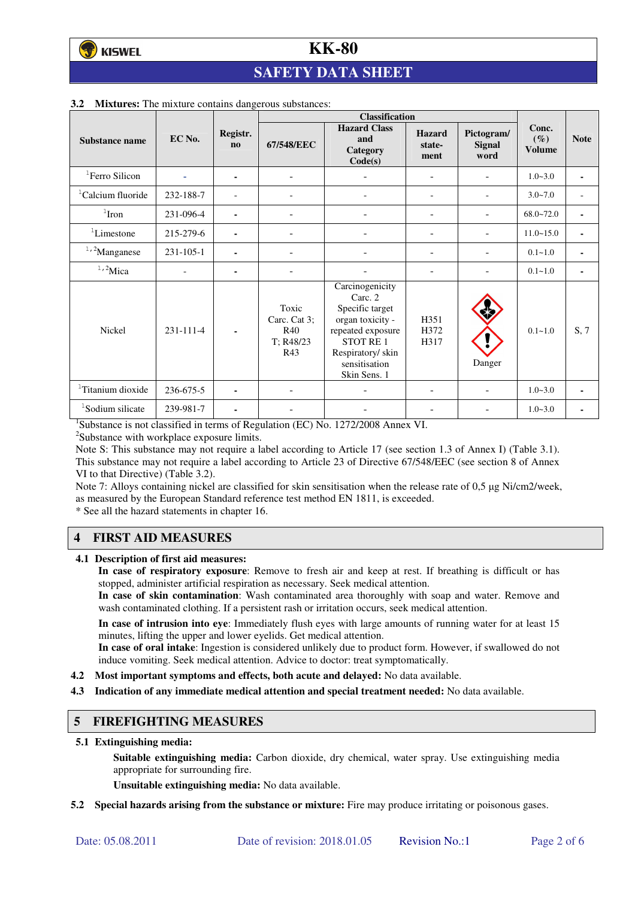# **SAFETY DATA SHEET**

|                               |                 |                          | <b>Classification</b>                                   |                                                                                                                                                         |                                 |                                     |                                  |             |
|-------------------------------|-----------------|--------------------------|---------------------------------------------------------|---------------------------------------------------------------------------------------------------------------------------------------------------------|---------------------------------|-------------------------------------|----------------------------------|-------------|
| Substance name                | EC No.          | Registr.<br>$\mathbf{n}$ | 67/548/EEC                                              | <b>Hazard Class</b><br>and<br>Category<br>Code(s)                                                                                                       | <b>Hazard</b><br>state-<br>ment | Pictogram/<br><b>Signal</b><br>word | Conc.<br>$(\%)$<br><b>Volume</b> | <b>Note</b> |
| <sup>1</sup> Ferro Silicon    |                 | ۰                        | $\overline{\phantom{a}}$                                |                                                                                                                                                         | ۰                               |                                     | $1.0 - 3.0$                      | ٠           |
| <sup>1</sup> Calcium fluoride | 232-188-7       |                          |                                                         |                                                                                                                                                         | $\overline{\phantom{0}}$        |                                     | $3.0 - 7.0$                      |             |
| $1$ Iron                      | 231-096-4       | ۰                        |                                                         |                                                                                                                                                         | ÷                               |                                     | $68.0 - 72.0$                    | ٠           |
| ${}^{1}$ Limestone            | 215-279-6       | ۰                        | $\blacksquare$                                          |                                                                                                                                                         | ۰                               |                                     | $11.0 - 15.0$                    | ٠           |
| $1,2$ Manganese               | $231 - 105 - 1$ |                          |                                                         |                                                                                                                                                         |                                 |                                     | $0.1 - 1.0$                      |             |
| $1,2$ Mica                    |                 | ۰                        |                                                         |                                                                                                                                                         |                                 |                                     | $0.1 - 1.0$                      | ٠           |
| <b>Nickel</b>                 | 231-111-4       |                          | Toxic<br>Carc. Cat 3;<br><b>R40</b><br>T: R48/23<br>R43 | Carcinogenicity<br>Carc. 2<br>Specific target<br>organ toxicity -<br>repeated exposure<br>STOT RE1<br>Respiratory/skin<br>sensitisation<br>Skin Sens. 1 | H351<br>H372<br>H317            | Danger                              | $0.1 - 1.0$                      | S, 7        |
| <sup>1</sup> Titanium dioxide | 236-675-5       |                          |                                                         |                                                                                                                                                         |                                 |                                     | $1.0 - 3.0$                      | ٠           |
| <sup>1</sup> Sodium silicate  | 239-981-7       | ۰                        |                                                         |                                                                                                                                                         |                                 |                                     | $1.0 - 3.0$                      |             |

#### **3.2 Mixtures:** The mixture contains dangerous substances:

<sup>1</sup>Substance is not classified in terms of Regulation (EC) No. 1272/2008 Annex VI.

<sup>2</sup>Substance with workplace exposure limits.

Note S: This substance may not require a label according to Article 17 (see section 1.3 of Annex I) (Table 3.1). This substance may not require a label according to Article 23 of Directive 67/548/EEC (see section 8 of Annex VI to that Directive) (Table 3.2).

Note 7: Alloys containing nickel are classified for skin sensitisation when the release rate of 0,5 µg Ni/cm2/week, as measured by the European Standard reference test method EN 1811, is exceeded.

\* See all the hazard statements in chapter 16.

## **4 FIRST AID MEASURES**

**4.1 Description of first aid measures:** 

**In case of respiratory exposure**: Remove to fresh air and keep at rest. If breathing is difficult or has stopped, administer artificial respiration as necessary. Seek medical attention.

**In case of skin contamination**: Wash contaminated area thoroughly with soap and water. Remove and wash contaminated clothing. If a persistent rash or irritation occurs, seek medical attention.

 **In case of intrusion into eye**: Immediately flush eyes with large amounts of running water for at least 15 minutes, lifting the upper and lower eyelids. Get medical attention.

**In case of oral intake**: Ingestion is considered unlikely due to product form. However, if swallowed do not induce vomiting. Seek medical attention. Advice to doctor: treat symptomatically.

- **4.2 Most important symptoms and effects, both acute and delayed:** No data available.
- **4.3 Indication of any immediate medical attention and special treatment needed:** No data available.

### **5 FIREFIGHTING MEASURES**

**5.1 Extinguishing media:** 

**Suitable extinguishing media:** Carbon dioxide, dry chemical, water spray. Use extinguishing media appropriate for surrounding fire.

**Unsuitable extinguishing media:** No data available.

**5.2 Special hazards arising from the substance or mixture:** Fire may produce irritating or poisonous gases.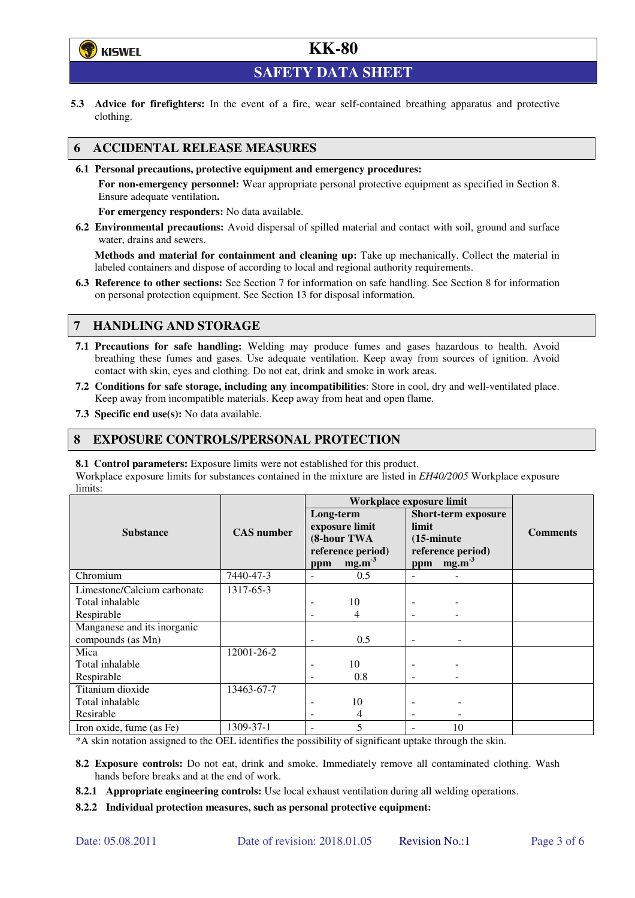

**SAFETY DATA SHEET** 

**5.3 Advice for firefighters:** In the event of a fire, wear self-contained breathing apparatus and protective clothing.

### **6 ACCIDENTAL RELEASE MEASURES**

**6.1 Personal precautions, protective equipment and emergency procedures:** 

**For non-emergency personnel:** Wear appropriate personal protective equipment as specified in Section 8. Ensure adequate ventilation**.** 

**For emergency responders:** No data available.

**6.2 Environmental precautions:** Avoid dispersal of spilled material and contact with soil, ground and surface water, drains and sewers.

**Methods and material for containment and cleaning up:** Take up mechanically. Collect the material in labeled containers and dispose of according to local and regional authority requirements.

**6.3 Reference to other sections:** See Section 7 for information on safe handling. See Section 8 for information on personal protection equipment. See Section 13 for disposal information.

### **7 HANDLING AND STORAGE**

- **7.1 Precautions for safe handling:** Welding may produce fumes and gases hazardous to health. Avoid breathing these fumes and gases. Use adequate ventilation. Keep away from sources of ignition. Avoid contact with skin, eyes and clothing. Do not eat, drink and smoke in work areas.
- **7.2 Conditions for safe storage, including any incompatibilities**: Store in cool, dry and well-ventilated place. Keep away from incompatible materials. Keep away from heat and open flame.
- **7.3 Specific end use(s):** No data available.

### **8 EXPOSURE CONTROLS/PERSONAL PROTECTION**

**8.1 Control parameters:** Exposure limits were not established for this product.

Workplace exposure limits for substances contained in the mixture are listed in *EH40/2005* Workplace exposure limits:

|                                                  |                   | Workplace exposure limit |                                                                         |                                      |                                                                      |                 |
|--------------------------------------------------|-------------------|--------------------------|-------------------------------------------------------------------------|--------------------------------------|----------------------------------------------------------------------|-----------------|
| <b>Substance</b>                                 | <b>CAS</b> number | Long-term<br>ppm         | exposure limit<br>(8-hour TWA<br>reference period)<br>mg.m <sup>3</sup> | limit<br>$(15\text{-minute})$<br>ppm | <b>Short-term exposure</b><br>reference period)<br>mg.m <sup>3</sup> | <b>Comments</b> |
| Chromium                                         | 7440-47-3         |                          | 0.5                                                                     |                                      |                                                                      |                 |
| Limestone/Calcium carbonate                      | 1317-65-3         |                          |                                                                         |                                      |                                                                      |                 |
| Total inhalable                                  |                   |                          | 10                                                                      |                                      |                                                                      |                 |
| Respirable                                       |                   |                          | 4                                                                       |                                      |                                                                      |                 |
| Manganese and its inorganic<br>compounds (as Mn) |                   | ٠                        | 0.5                                                                     | $\overline{\phantom{0}}$             |                                                                      |                 |
| Mica                                             | 12001-26-2        |                          |                                                                         |                                      |                                                                      |                 |
| Total inhalable                                  |                   |                          | 10                                                                      |                                      |                                                                      |                 |
| Respirable                                       |                   |                          | 0.8                                                                     |                                      |                                                                      |                 |
| Titanium dioxide                                 | 13463-67-7        |                          |                                                                         |                                      |                                                                      |                 |
| Total inhalable                                  |                   |                          | 10                                                                      |                                      |                                                                      |                 |
| Resirable                                        |                   |                          | 4                                                                       |                                      |                                                                      |                 |
| Iron oxide, fume (as Fe)                         | 1309-37-1         |                          | 5                                                                       |                                      | 10                                                                   |                 |

\*A skin notation assigned to the OEL identifies the possibility of significant uptake through the skin.

- **8.2 Exposure controls:** Do not eat, drink and smoke. Immediately remove all contaminated clothing. Wash hands before breaks and at the end of work.
- **8.2.1 Appropriate engineering controls:** Use local exhaust ventilation during all welding operations.
- **8.2.2 Individual protection measures, such as personal protective equipment:**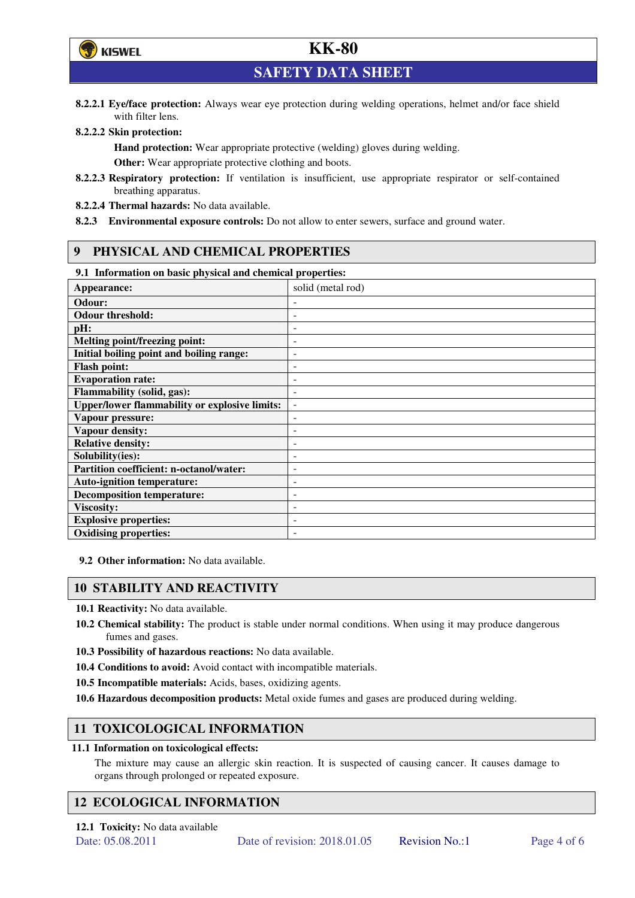

**SAFETY DATA SHEET** 

**8.2.2.1 Eye/face protection:** Always wear eye protection during welding operations, helmet and/or face shield with filter lens.

#### **8.2.2.2 Skin protection:**

**Hand protection:** Wear appropriate protective (welding) gloves during welding. **Other:** Wear appropriate protective clothing and boots.

- **8.2.2.3 Respiratory protection:** If ventilation is insufficient, use appropriate respirator or self-contained breathing apparatus.
- **8.2.2.4 Thermal hazards:** No data available.
- **8.2.3 Environmental exposure controls:** Do not allow to enter sewers, surface and ground water.

### **9 PHYSICAL AND CHEMICAL PROPERTIES**

#### **9.1 Information on basic physical and chemical properties:**

| 2.1 - 111101 matron on basic physical and chemical properties. |                          |  |  |  |
|----------------------------------------------------------------|--------------------------|--|--|--|
| Appearance:                                                    | solid (metal rod)        |  |  |  |
| Odour:                                                         |                          |  |  |  |
| <b>Odour threshold:</b>                                        |                          |  |  |  |
| pH:                                                            |                          |  |  |  |
| <b>Melting point/freezing point:</b>                           | -                        |  |  |  |
| Initial boiling point and boiling range:                       | -                        |  |  |  |
| <b>Flash point:</b>                                            |                          |  |  |  |
| <b>Evaporation rate:</b>                                       |                          |  |  |  |
| <b>Flammability (solid, gas):</b>                              |                          |  |  |  |
| <b>Upper/lower flammability or explosive limits:</b>           | $\overline{\phantom{a}}$ |  |  |  |
| Vapour pressure:                                               | -                        |  |  |  |
| Vapour density:                                                |                          |  |  |  |
| <b>Relative density:</b>                                       |                          |  |  |  |
| Solubility(ies):                                               |                          |  |  |  |
| Partition coefficient: n-octanol/water:                        | -                        |  |  |  |
| <b>Auto-ignition temperature:</b>                              |                          |  |  |  |
| <b>Decomposition temperature:</b>                              |                          |  |  |  |
| <b>Viscosity:</b>                                              |                          |  |  |  |
| <b>Explosive properties:</b>                                   | ۰                        |  |  |  |
| <b>Oxidising properties:</b>                                   | -                        |  |  |  |
|                                                                |                          |  |  |  |

**9.2 Other information:** No data available.

### **10 STABILITY AND REACTIVITY**

**10.1 Reactivity:** No data available.

- **10.2 Chemical stability:** The product is stable under normal conditions. When using it may produce dangerous fumes and gases.
- **10.3 Possibility of hazardous reactions:** No data available.
- **10.4 Conditions to avoid:** Avoid contact with incompatible materials.
- **10.5 Incompatible materials:** Acids, bases, oxidizing agents.
- **10.6 Hazardous decomposition products:** Metal oxide fumes and gases are produced during welding.

## **11 TOXICOLOGICAL INFORMATION**

#### **11.1 Information on toxicological effects:**

The mixture may cause an allergic skin reaction. It is suspected of causing cancer. It causes damage to organs through prolonged or repeated exposure.

## **12 ECOLOGICAL INFORMATION**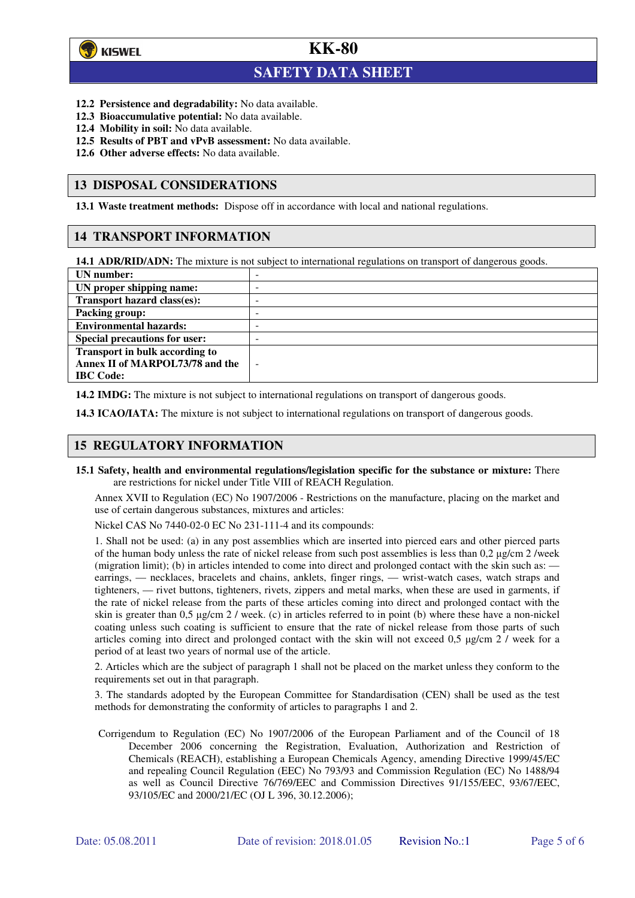

 $\overline{a}$ 

## **KK-80**

## **SAFETY DATA SHEET**

- **12.2 Persistence and degradability:** No data available.
- **12.3 Bioaccumulative potential:** No data available.
- **12.4 Mobility in soil:** No data available.
- **12.5 Results of PBT and vPvB assessment:** No data available.
- **12.6 Other adverse effects:** No data available.

#### **13 DISPOSAL CONSIDERATIONS**

**13.1 Waste treatment methods:** Dispose off in accordance with local and national regulations.

#### **14 TRANSPORT INFORMATION**

**14.1 ADR/RID/ADN:** The mixture is not subject to international regulations on transport of dangerous goods.

| UN number:                            | - |
|---------------------------------------|---|
| UN proper shipping name:              | - |
| Transport hazard class(es):           | - |
| <b>Packing group:</b>                 | - |
| <b>Environmental hazards:</b>         | - |
| <b>Special precautions for user:</b>  | - |
| <b>Transport in bulk according to</b> |   |
| Annex II of MARPOL73/78 and the       | - |
| <b>IBC</b> Code:                      |   |

**14.2 IMDG:** The mixture is not subject to international regulations on transport of dangerous goods.

**14.3 ICAO/IATA:** The mixture is not subject to international regulations on transport of dangerous goods.

### **15 REGULATORY INFORMATION**

**15.1 Safety, health and environmental regulations/legislation specific for the substance or mixture:** There are restrictions for nickel under Title VIII of REACH Regulation.

Annex XVII to Regulation (EC) No 1907/2006 - Restrictions on the manufacture, placing on the market and use of certain dangerous substances, mixtures and articles:

Nickel CAS No 7440-02-0 EC No 231-111-4 and its compounds:

1. Shall not be used: (a) in any post assemblies which are inserted into pierced ears and other pierced parts of the human body unless the rate of nickel release from such post assemblies is less than  $0.2 \mu$ g/cm  $2$ /week (migration limit); (b) in articles intended to come into direct and prolonged contact with the skin such as: earrings, — necklaces, bracelets and chains, anklets, finger rings, — wrist-watch cases, watch straps and tighteners, — rivet buttons, tighteners, rivets, zippers and metal marks, when these are used in garments, if the rate of nickel release from the parts of these articles coming into direct and prolonged contact with the skin is greater than 0,5 µg/cm 2 / week. (c) in articles referred to in point (b) where these have a non-nickel coating unless such coating is sufficient to ensure that the rate of nickel release from those parts of such articles coming into direct and prolonged contact with the skin will not exceed 0,5 µg/cm 2 / week for a period of at least two years of normal use of the article.

2. Articles which are the subject of paragraph 1 shall not be placed on the market unless they conform to the requirements set out in that paragraph.

3. The standards adopted by the European Committee for Standardisation (CEN) shall be used as the test methods for demonstrating the conformity of articles to paragraphs 1 and 2.

Corrigendum to Regulation (EC) No 1907/2006 of the European Parliament and of the Council of 18 December 2006 concerning the Registration, Evaluation, Authorization and Restriction of Chemicals (REACH), establishing a European Chemicals Agency, amending Directive 1999/45/EC and repealing Council Regulation (EEC) No 793/93 and Commission Regulation (EC) No 1488/94 as well as Council Directive 76/769/EEC and Commission Directives 91/155/EEC, 93/67/EEC, 93/105/EC and 2000/21/EC (OJ L 396, 30.12.2006);